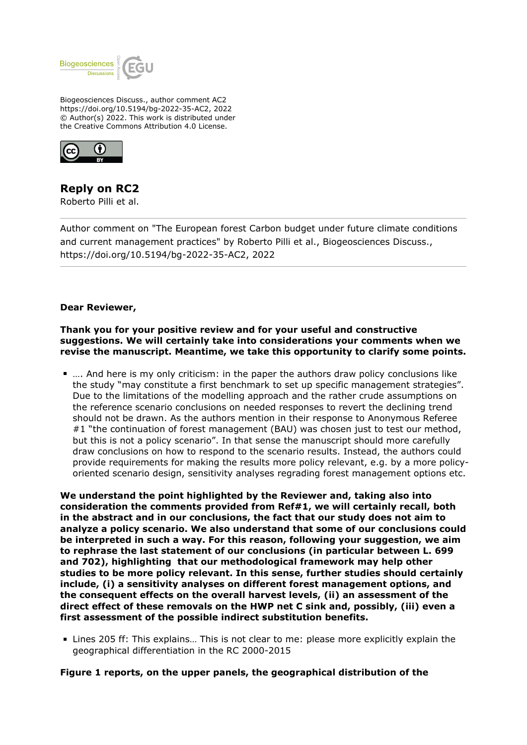

Biogeosciences Discuss., author comment AC2 https://doi.org/10.5194/bg-2022-35-AC2, 2022 © Author(s) 2022. This work is distributed under the Creative Commons Attribution 4.0 License.



# **Reply on RC2**

Roberto Pilli et al.

Author comment on "The European forest Carbon budget under future climate conditions and current management practices" by Roberto Pilli et al., Biogeosciences Discuss., https://doi.org/10.5194/bg-2022-35-AC2, 2022

## **Dear Reviewer,**

## **Thank you for your positive review and for your useful and constructive suggestions. We will certainly take into considerations your comments when we revise the manuscript. Meantime, we take this opportunity to clarify some points.**

…. And here is my only criticism: in the paper the authors draw policy conclusions like the study "may constitute a first benchmark to set up specific management strategies". Due to the limitations of the modelling approach and the rather crude assumptions on the reference scenario conclusions on needed responses to revert the declining trend should not be drawn. As the authors mention in their response to Anonymous Referee #1 "the continuation of forest management (BAU) was chosen just to test our method, but this is not a policy scenario". In that sense the manuscript should more carefully draw conclusions on how to respond to the scenario results. Instead, the authors could provide requirements for making the results more policy relevant, e.g. by a more policyoriented scenario design, sensitivity analyses regrading forest management options etc.

**We understand the point highlighted by the Reviewer and, taking also into consideration the comments provided from Ref#1, we will certainly recall, both in the abstract and in our conclusions, the fact that our study does not aim to analyze a policy scenario. We also understand that some of our conclusions could be interpreted in such a way. For this reason, following your suggestion, we aim to rephrase the last statement of our conclusions (in particular between L. 699 and 702), highlighting that our methodological framework may help other studies to be more policy relevant. In this sense, further studies should certainly include, (i) a sensitivity analyses on different forest management options, and the consequent effects on the overall harvest levels, (ii) an assessment of the direct effect of these removals on the HWP net C sink and, possibly, (iii) even a first assessment of the possible indirect substitution benefits.**

Lines 205 ff: This explains… This is not clear to me: please more explicitly explain the geographical differentiation in the RC 2000-2015

**Figure 1 reports, on the upper panels, the geographical distribution of the**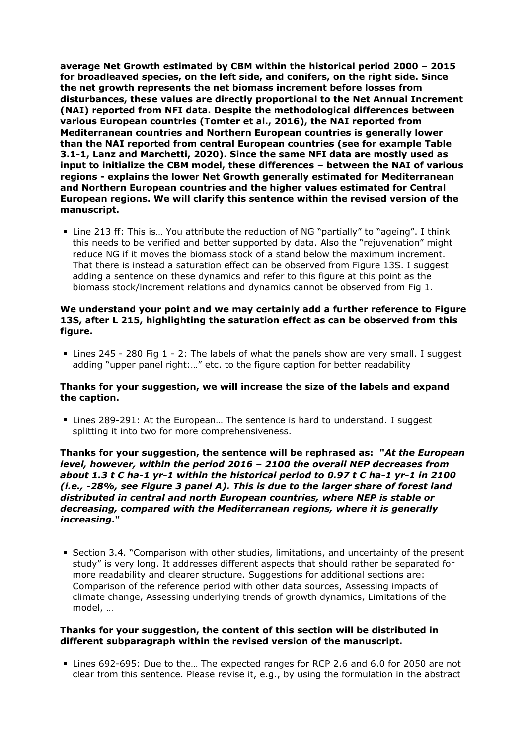**average Net Growth estimated by CBM within the historical period 2000 – 2015 for broadleaved species, on the left side, and conifers, on the right side. Since the net growth represents the net biomass increment before losses from disturbances, these values are directly proportional to the Net Annual Increment (NAI) reported from NFI data. Despite the methodological differences between various European countries (Tomter et al., 2016), the NAI reported from Mediterranean countries and Northern European countries is generally lower than the NAI reported from central European countries (see for example Table 3.1-1, Lanz and Marchetti, 2020). Since the same NFI data are mostly used as input to initialize the CBM model, these differences – between the NAI of various regions - explains the lower Net Growth generally estimated for Mediterranean and Northern European countries and the higher values estimated for Central European regions. We will clarify this sentence within the revised version of the manuscript.**

Line 213 ff: This is… You attribute the reduction of NG "partially" to "ageing". I think this needs to be verified and better supported by data. Also the "rejuvenation" might reduce NG if it moves the biomass stock of a stand below the maximum increment. That there is instead a saturation effect can be observed from Figure 13S. I suggest adding a sentence on these dynamics and refer to this figure at this point as the biomass stock/increment relations and dynamics cannot be observed from Fig 1.

# **We understand your point and we may certainly add a further reference to Figure 13S, after L 215, highlighting the saturation effect as can be observed from this figure.**

 $\blacksquare$  Lines 245 - 280 Fig 1 - 2: The labels of what the panels show are very small. I suggest adding "upper panel right:…" etc. to the figure caption for better readability

## **Thanks for your suggestion, we will increase the size of the labels and expand the caption.**

■ Lines 289-291: At the European... The sentence is hard to understand. I suggest splitting it into two for more comprehensiveness.

# **Thanks for your suggestion, the sentence will be rephrased as: "***At the European level, however, within the period 2016 – 2100 the overall NEP decreases from about 1.3 t C ha-1 yr-1 within the historical period to 0.97 t C ha-1 yr-1 in 2100 (i.e., -28%, see Figure 3 panel A). This is due to the larger share of forest land distributed in central and north European countries, where NEP is stable or decreasing, compared with the Mediterranean regions, where it is generally increasing***."**

Section 3.4. "Comparison with other studies, limitations, and uncertainty of the present study" is very long. It addresses different aspects that should rather be separated for more readability and clearer structure. Suggestions for additional sections are: Comparison of the reference period with other data sources, Assessing impacts of climate change, Assessing underlying trends of growth dynamics, Limitations of the model, …

#### **Thanks for your suggestion, the content of this section will be distributed in different subparagraph within the revised version of the manuscript.**

Lines 692-695: Due to the… The expected ranges for RCP 2.6 and 6.0 for 2050 are not clear from this sentence. Please revise it, e.g., by using the formulation in the abstract